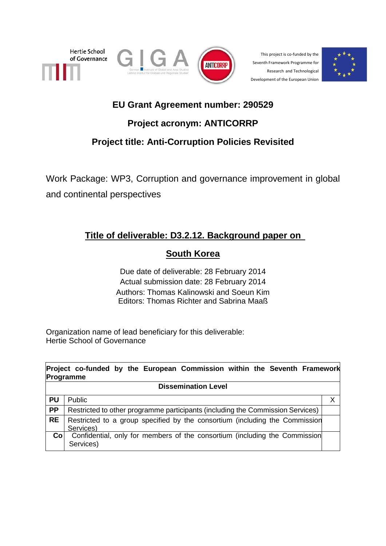





This project is co-funded by the Seventh Framework Programme for Research and Technological Development of the European Union



# **EU Grant Agreement number: 290529**

# **Project acronym: ANTICORRP**

# **Project title: Anti-Corruption Policies Revisited**

Work Package: WP3, Corruption and governance improvement in global and continental perspectives

# **Title of deliverable: D3.2.12. Background paper on**

# **South Korea**

Due date of deliverable: 28 February 2014 Actual submission date: 28 February 2014 Authors: Thomas Kalinowski and Soeun Kim Editors: Thomas Richter and Sabrina Maaß

Organization name of lead beneficiary for this deliverable: Hertie School of Governance

|                 | Project co-funded by the European Commission within the Seventh Framework<br>Programme   |   |
|-----------------|------------------------------------------------------------------------------------------|---|
|                 | <b>Dissemination Level</b>                                                               |   |
| <b>PU</b>       | Public                                                                                   | Х |
| <b>PP</b>       | Restricted to other programme participants (including the Commission Services)           |   |
| <b>RE</b>       | Restricted to a group specified by the consortium (including the Commission<br>Services) |   |
| Co <sub>1</sub> | Confidential, only for members of the consortium (including the Commission<br>Services)  |   |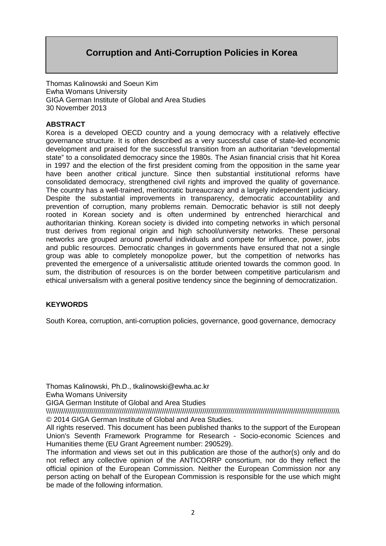# **Corruption and Anti-Corruption Policies in Korea**

Thomas Kalinowski and Soeun Kim Ewha Womans University GIGA German Institute of Global and Area Studies 30 November 2013

### **ABSTRACT**

Korea is a developed OECD country and a young democracy with a relatively effective governance structure. It is often described as a very successful case of state-led economic development and praised for the successful transition from an authoritarian "developmental state" to a consolidated democracy since the 1980s. The Asian financial crisis that hit Korea in 1997 and the election of the first president coming from the opposition in the same year have been another critical juncture. Since then substantial institutional reforms have consolidated democracy, strengthened civil rights and improved the quality of governance. The country has a well-trained, meritocratic bureaucracy and a largely independent judiciary. Despite the substantial improvements in transparency, democratic accountability and prevention of corruption, many problems remain. Democratic behavior is still not deeply rooted in Korean society and is often undermined by entrenched hierarchical and authoritarian thinking. Korean society is divided into competing networks in which personal trust derives from regional origin and high school/university networks. These personal networks are grouped around powerful individuals and compete for influence, power, jobs and public resources. Democratic changes in governments have ensured that not a single group was able to completely monopolize power, but the competition of networks has prevented the emergence of a universalistic attitude oriented towards the common good. In sum, the distribution of resources is on the border between competitive particularism and ethical universalism with a general positive tendency since the beginning of democratization.

### **KEYWORDS**

South Korea, corruption, anti-corruption policies, governance, good governance, democracy

Thomas Kalinowski, Ph.D., tkalinowski@ewha.ac.kr

Ewha Womans University

GIGA German Institute of Global and Area Studies

\\\\\\\\\\\\\\\\\\\\\\\\\\\\\\\\\\\\\\\\\\\\\\\\\\\\\\\\\\\\\\\\\\\\\\\\\\\\\\\\\\\\\\\\\\\\\\\\\\\\\\\\\\\\\\\\\\\\\\\\\\\\\\\\\\\\\\\\\\\\\\\\\\\\ © 2014 GIGA German Institute of Global and Area Studies.

All rights reserved. This document has been published thanks to the support of the European Union's Seventh Framework Programme for Research - Socio-economic Sciences and Humanities theme (EU Grant Agreement number: 290529).

The information and views set out in this publication are those of the author(s) only and do not reflect any collective opinion of the ANTICORRP consortium, nor do they reflect the official opinion of the European Commission. Neither the European Commission nor any person acting on behalf of the European Commission is responsible for the use which might be made of the following information.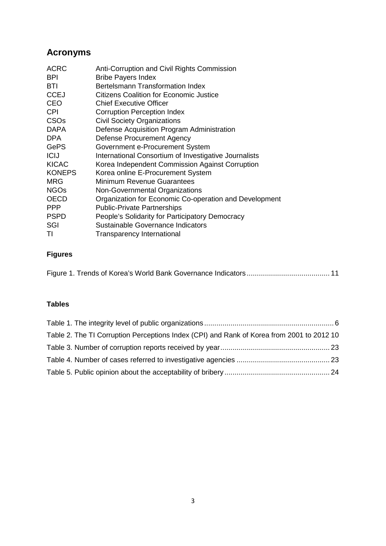# **Acronyms**

| <b>ACRC</b><br><b>BPI</b> | Anti-Corruption and Civil Rights Commission<br><b>Bribe Payers Index</b> |
|---------------------------|--------------------------------------------------------------------------|
| BTI                       | Bertelsmann Transformation Index                                         |
| <b>CCEJ</b>               | <b>Citizens Coalition for Economic Justice</b>                           |
| <b>CEO</b>                | <b>Chief Executive Officer</b>                                           |
| <b>CPI</b>                | <b>Corruption Perception Index</b>                                       |
| <b>CSOs</b>               | <b>Civil Society Organizations</b>                                       |
| <b>DAPA</b>               | Defense Acquisition Program Administration                               |
| DPA                       | <b>Defense Procurement Agency</b>                                        |
| <b>GePS</b>               | Government e-Procurement System                                          |
| <b>ICIJ</b>               | International Consortium of Investigative Journalists                    |
| <b>KICAC</b>              | Korea Independent Commission Against Corruption                          |
| <b>KONEPS</b>             | Korea online E-Procurement System                                        |
| <b>MRG</b>                | Minimum Revenue Guarantees                                               |
| <b>NGOs</b>               | Non-Governmental Organizations                                           |
| <b>OECD</b>               | Organization for Economic Co-operation and Development                   |
| <b>PPP</b>                | <b>Public-Private Partnerships</b>                                       |
| <b>PSPD</b>               | People's Solidarity for Participatory Democracy                          |
| SGI                       | Sustainable Governance Indicators                                        |
| TI                        | Transparency International                                               |

# **Figures**

|--|

## **Tables**

| Table 2. The TI Corruption Perceptions Index (CPI) and Rank of Korea from 2001 to 2012 10 |  |
|-------------------------------------------------------------------------------------------|--|
|                                                                                           |  |
|                                                                                           |  |
|                                                                                           |  |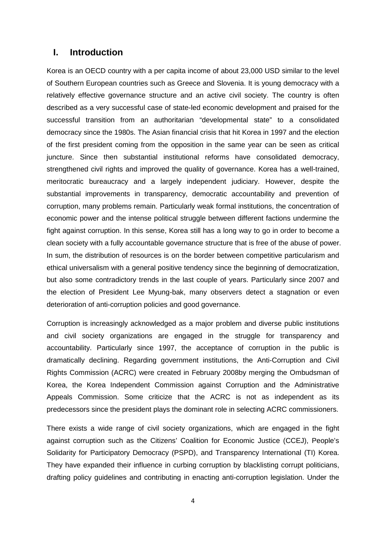## **I. Introduction**

Korea is an OECD country with a per capita income of about 23,000 USD similar to the level of Southern European countries such as Greece and Slovenia. It is young democracy with a relatively effective governance structure and an active civil society. The country is often described as a very successful case of state-led economic development and praised for the successful transition from an authoritarian "developmental state" to a consolidated democracy since the 1980s. The Asian financial crisis that hit Korea in 1997 and the election of the first president coming from the opposition in the same year can be seen as critical juncture. Since then substantial institutional reforms have consolidated democracy, strengthened civil rights and improved the quality of governance. Korea has a well-trained, meritocratic bureaucracy and a largely independent judiciary. However, despite the substantial improvements in transparency, democratic accountability and prevention of corruption, many problems remain. Particularly weak formal institutions, the concentration of economic power and the intense political struggle between different factions undermine the fight against corruption. In this sense, Korea still has a long way to go in order to become a clean society with a fully accountable governance structure that is free of the abuse of power. In sum, the distribution of resources is on the border between competitive particularism and ethical universalism with a general positive tendency since the beginning of democratization, but also some contradictory trends in the last couple of years. Particularly since 2007 and the election of President Lee Myung-bak, many observers detect a stagnation or even deterioration of anti-corruption policies and good governance.

Corruption is increasingly acknowledged as a major problem and diverse public institutions and civil society organizations are engaged in the struggle for transparency and accountability. Particularly since 1997, the acceptance of corruption in the public is dramatically declining. Regarding government institutions, the Anti-Corruption and Civil Rights Commission (ACRC) were created in February 2008by merging the Ombudsman of Korea, the Korea Independent Commission against Corruption and the Administrative Appeals Commission. Some criticize that the ACRC is not as independent as its predecessors since the president plays the dominant role in selecting ACRC commissioners.

There exists a wide range of civil society organizations, which are engaged in the fight against corruption such as the Citizens' Coalition for Economic Justice (CCEJ), People's Solidarity for Participatory Democracy (PSPD), and Transparency International (TI) Korea. They have expanded their influence in curbing corruption by blacklisting corrupt politicians, drafting policy guidelines and contributing in enacting anti-corruption legislation. Under the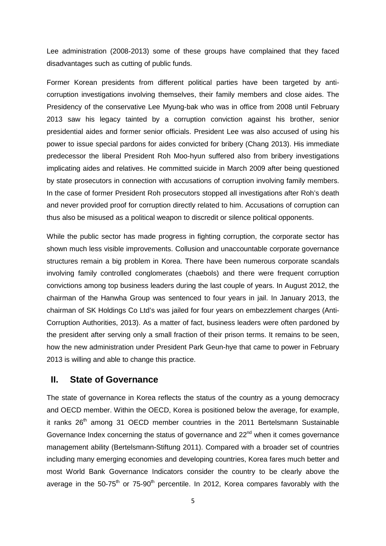Lee administration (2008-2013) some of these groups have complained that they faced disadvantages such as cutting of public funds.

Former Korean presidents from different political parties have been targeted by anticorruption investigations involving themselves, their family members and close aides. The Presidency of the conservative Lee Myung-bak who was in office from 2008 until February 2013 saw his legacy tainted by a corruption conviction against his brother, senior presidential aides and former senior officials. President Lee was also accused of using his power to issue special pardons for aides convicted for bribery [\(Chang](#page-25-0) 2013). His immediate predecessor the liberal President Roh Moo-hyun suffered also from bribery investigations implicating aides and relatives. He committed suicide in March 2009 after being questioned by state prosecutors in connection with accusations of corruption involving family members. In the case of former President Roh prosecutors stopped all investigations after Roh's death and never provided proof for corruption directly related to him. Accusations of corruption can thus also be misused as a political weapon to discredit or silence political opponents.

While the public sector has made progress in fighting corruption, the corporate sector has shown much less visible improvements. Collusion and unaccountable corporate governance structures remain a big problem in Korea. There have been numerous corporate scandals involving family controlled conglomerates (chaebols) and there were frequent corruption convictions among top business leaders during the last couple of years. In August 2012, the chairman of the Hanwha Group was sentenced to four years in jail. In January 2013, the chairman of SK Holdings Co Ltd's was jailed for four years on embezzlement charges [\(Anti-](#page-25-1)[Corruption Authorities, 2013\)](#page-25-1). As a matter of fact, business leaders were often pardoned by the president after serving only a small fraction of their prison terms. It remains to be seen, how the new administration under President Park Geun-hye that came to power in February 2013 is willing and able to change this practice.

## **II. State of Governance**

The state of governance in Korea reflects the status of the country as a young democracy and OECD member. Within the OECD, Korea is positioned below the average, for example, it ranks 26<sup>th</sup> among 31 OECD member countries in the 2011 Bertelsmann Sustainable Governance Index concerning the status of governance and  $22<sup>nd</sup>$  when it comes governance management ability [\(Bertelsmann-Stiftung](#page-25-2) 2011). Compared with a broader set of countries including many emerging economies and developing countries, Korea fares much better and most World Bank Governance Indicators consider the country to be clearly above the average in the  $50-75<sup>th</sup>$  or  $75-90<sup>th</sup>$  percentile. In 2012, Korea compares favorably with the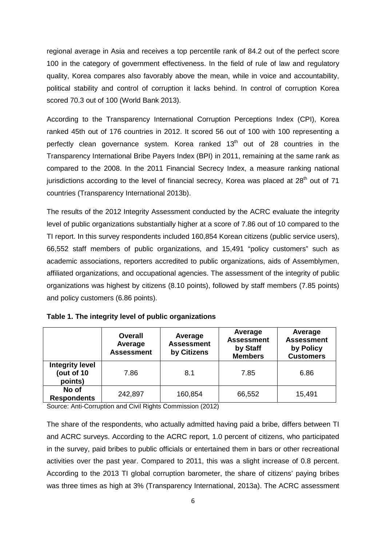regional average in Asia and receives a top percentile rank of 84.2 out of the perfect score 100 in the category of government effectiveness. In the field of rule of law and regulatory quality, Korea compares also favorably above the mean, while in voice and accountability, political stability and control of corruption it lacks behind. In control of corruption Korea scored 70.3 out of 100 [\(World Bank](#page-27-0) 2013).

According to the Transparency International Corruption Perceptions Index (CPI), Korea ranked 45th out of 176 countries in 2012. It scored 56 out of 100 with 100 representing a perfectly clean governance system. Korea ranked 13<sup>th</sup> out of 28 countries in the Transparency International Bribe Payers Index (BPI) in 2011, remaining at the same rank as compared to the 2008. In the 2011 Financial Secrecy Index, a measure ranking national jurisdictions according to the level of financial secrecy, Korea was placed at  $28<sup>th</sup>$  out of 71 countries [\(Transparency International](#page-27-1) 2013b).

The results of the 2012 Integrity Assessment conducted by the ACRC evaluate the integrity level of public organizations substantially higher at a score of 7.86 out of 10 compared to the TI report. In this survey respondents included 160,854 Korean citizens (public service users), 66,552 staff members of public organizations, and 15,491 "policy customers" such as academic associations, reporters accredited to public organizations, aids of Assemblymen, affiliated organizations, and occupational agencies. The assessment of the integrity of public organizations was highest by citizens (8.10 points), followed by staff members (7.85 points) and policy customers (6.86 points).

|                                                 | <b>Overall</b><br>Average<br><b>Assessment</b> | Average<br><b>Assessment</b><br>by Citizens | Average<br><b>Assessment</b><br>by Staff<br><b>Members</b> | Average<br><b>Assessment</b><br>by Policy<br><b>Customers</b> |
|-------------------------------------------------|------------------------------------------------|---------------------------------------------|------------------------------------------------------------|---------------------------------------------------------------|
| <b>Integrity level</b><br>(out of 10<br>points) | 7.86                                           | 8.1                                         | 7.85                                                       | 6.86                                                          |
| No of<br><b>Respondents</b>                     | 242,897                                        | 160,854                                     | 66,552                                                     | 15,491                                                        |

<span id="page-5-0"></span>

|  |  |  |  | Table 1. The integrity level of public organizations |
|--|--|--|--|------------------------------------------------------|
|--|--|--|--|------------------------------------------------------|

Source: [Anti-Corruption and Civil Rights Commission](#page-25-3) (2012)

The share of the respondents, who actually admitted having paid a bribe, differs between TI and ACRC surveys. According to the ACRC report, 1.0 percent of citizens, who participated in the survey, paid bribes to public officials or entertained them in bars or other recreational activities over the past year. Compared to 2011, this was a slight increase of 0.8 percent. According to the 2013 TI global corruption barometer, the share of citizens' paying bribes was three times as high at 3% [\(Transparency International, 2013a\)](#page-27-2). The ACRC assessment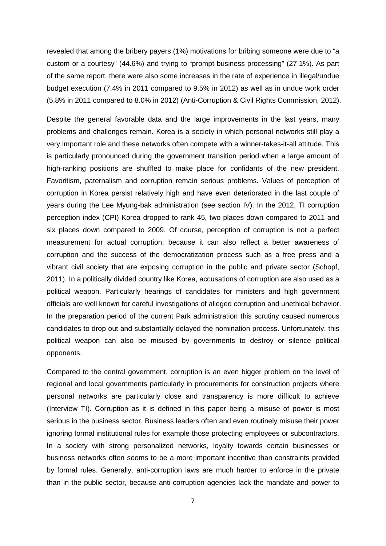revealed that among the bribery payers (1%) motivations for bribing someone were due to "a custom or a courtesy" (44.6%) and trying to "prompt business processing" (27.1%). As part of the same report, there were also some increases in the rate of experience in illegal/undue budget execution (7.4% in 2011 compared to 9.5% in 2012) as well as in undue work order (5.8% in 2011 compared to 8.0% in 2012) [\(Anti-Corruption & Civil Rights Commission, 2012\)](#page-25-3).

Despite the general favorable data and the large improvements in the last years, many problems and challenges remain. Korea is a society in which personal networks still play a very important role and these networks often compete with a winner-takes-it-all attitude. This is particularly pronounced during the government transition period when a large amount of high-ranking positions are shuffled to make place for confidants of the new president. Favoritism, paternalism and corruption remain serious problems. Values of perception of corruption in Korea persist relatively high and have even deteriorated in the last couple of years during the Lee Myung-bak administration (see section IV). In the 2012, TI corruption perception index (CPI) Korea dropped to rank 45, two places down compared to 2011 and six places down compared to 2009. Of course, perception of corruption is not a perfect measurement for actual corruption, because it can also reflect a better awareness of corruption and the success of the democratization process such as a free press and a vibrant civil society that are exposing corruption in the public and private sector [\(Schopf,](#page-27-3)  [2011\)](#page-27-3). In a politically divided country like Korea, accusations of corruption are also used as a political weapon. Particularly hearings of candidates for ministers and high government officials are well known for careful investigations of alleged corruption and unethical behavior. In the preparation period of the current Park administration this scrutiny caused numerous candidates to drop out and substantially delayed the nomination process. Unfortunately, this political weapon can also be misused by governments to destroy or silence political opponents.

Compared to the central government, corruption is an even bigger problem on the level of regional and local governments particularly in procurements for construction projects where personal networks are particularly close and transparency is more difficult to achieve (Interview TI). Corruption as it is defined in this paper being a misuse of power is most serious in the business sector. Business leaders often and even routinely misuse their power ignoring formal institutional rules for example those protecting employees or subcontractors. In a society with strong personalized networks, loyalty towards certain businesses or business networks often seems to be a more important incentive than constraints provided by formal rules. Generally, anti-corruption laws are much harder to enforce in the private than in the public sector, because anti-corruption agencies lack the mandate and power to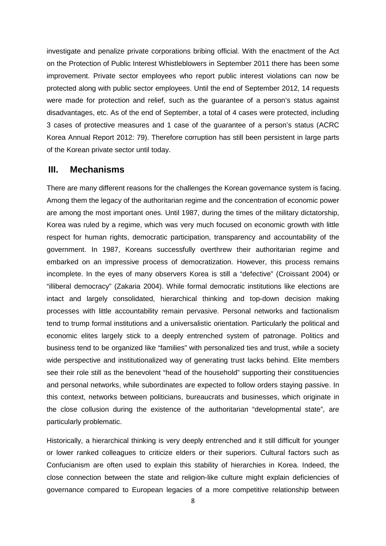investigate and penalize private corporations bribing official. With the enactment of the Act on the Protection of Public Interest Whistleblowers in September 2011 there has been some improvement. Private sector employees who report public interest violations can now be protected along with public sector employees. Until the end of September 2012, 14 requests were made for protection and relief, such as the guarantee of a person's status against disadvantages, etc. As of the end of September, a total of 4 cases were protected, including 3 cases of protective measures and 1 case of the guarantee of a person's status (ACRC Korea Annual Report 2012: 79). Therefore corruption has still been persistent in large parts of the Korean private sector until today.

## **III. Mechanisms**

There are many different reasons for the challenges the Korean governance system is facing. Among them the legacy of the authoritarian regime and the concentration of economic power are among the most important ones. Until 1987, during the times of the military dictatorship, Korea was ruled by a regime, which was very much focused on economic growth with little respect for human rights, democratic participation, transparency and accountability of the government. In 1987, Koreans successfully overthrew their authoritarian regime and embarked on an impressive process of democratization. However, this process remains incomplete. In the eyes of many observers Korea is still a "defective" [\(Croissant](#page-25-4) 2004) or "illiberal democracy" [\(Zakaria](#page-27-4) 2004). While formal democratic institutions like elections are intact and largely consolidated, hierarchical thinking and top-down decision making processes with little accountability remain pervasive. Personal networks and factionalism tend to trump formal institutions and a universalistic orientation. Particularly the political and economic elites largely stick to a deeply entrenched system of patronage. Politics and business tend to be organized like "families" with personalized ties and trust, while a society wide perspective and institutionalized way of generating trust lacks behind. Elite members see their role still as the benevolent "head of the household" supporting their constituencies and personal networks, while subordinates are expected to follow orders staying passive. In this context, networks between politicians, bureaucrats and businesses, which originate in the close collusion during the existence of the authoritarian "developmental state", are particularly problematic.

Historically, a hierarchical thinking is very deeply entrenched and it still difficult for younger or lower ranked colleagues to criticize elders or their superiors. Cultural factors such as Confucianism are often used to explain this stability of hierarchies in Korea. Indeed, the close connection between the state and religion-like culture might explain deficiencies of governance compared to European legacies of a more competitive relationship between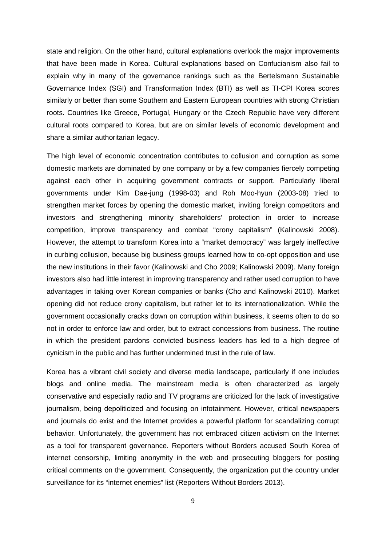state and religion. On the other hand, cultural explanations overlook the major improvements that have been made in Korea. Cultural explanations based on Confucianism also fail to explain why in many of the governance rankings such as the Bertelsmann Sustainable Governance Index (SGI) and Transformation Index (BTI) as well as TI-CPI Korea scores similarly or better than some Southern and Eastern European countries with strong Christian roots. Countries like Greece, Portugal, Hungary or the Czech Republic have very different cultural roots compared to Korea, but are on similar levels of economic development and share a similar authoritarian legacy.

The high level of economic concentration contributes to collusion and corruption as some domestic markets are dominated by one company or by a few companies fiercely competing against each other in acquiring government contracts or support. Particularly liberal governments under Kim Dae-jung (1998-03) and Roh Moo-hyun (2003-08) tried to strengthen market forces by opening the domestic market, inviting foreign competitors and investors and strengthening minority shareholders' protection in order to increase competition, improve transparency and combat "crony capitalism" [\(Kalinowski](#page-26-0) 2008). However, the attempt to transform Korea into a "market democracy" was largely ineffective in curbing collusion, because big business groups learned how to co-opt opposition and use the new institutions in their favor [\(Kalinowski and Cho](#page-26-1) 2009; [Kalinowski](#page-26-2) 2009). Many foreign investors also had little interest in improving transparency and rather used corruption to have advantages in taking over Korean companies or banks [\(Cho and Kalinowski](#page-25-5) 2010). Market opening did not reduce crony capitalism, but rather let to its internationalization. While the government occasionally cracks down on corruption within business, it seems often to do so not in order to enforce law and order, but to extract concessions from business. The routine in which the president pardons convicted business leaders has led to a high degree of cynicism in the public and has further undermined trust in the rule of law.

Korea has a vibrant civil society and diverse media landscape, particularly if one includes blogs and online media. The mainstream media is often characterized as largely conservative and especially radio and TV programs are criticized for the lack of investigative journalism, being depoliticized and focusing on infotainment. However, critical newspapers and journals do exist and the Internet provides a powerful platform for scandalizing corrupt behavior. Unfortunately, the government has not embraced citizen activism on the Internet as a tool for transparent governance. Reporters without Borders accused South Korea of internet censorship, limiting anonymity in the web and prosecuting bloggers for posting critical comments on the government. Consequently, the organization put the country under surveillance for its "internet enemies" list [\(Reporters Without Borders](#page-27-5) 2013).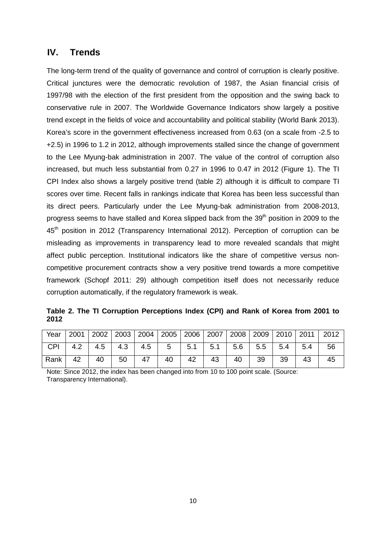## **IV. Trends**

The long-term trend of the quality of governance and control of corruption is clearly positive. Critical junctures were the democratic revolution of 1987, the Asian financial crisis of 1997/98 with the election of the first president from the opposition and the swing back to conservative rule in 2007. The Worldwide Governance Indicators show largely a positive trend except in the fields of voice and accountability and political stability [\(World Bank](#page-27-0) 2013). Korea's score in the government effectiveness increased from 0.63 (on a scale from -2.5 to +2.5) in 1996 to 1.2 in 2012, although improvements stalled since the change of government to the Lee Myung-bak administration in 2007. The value of the control of corruption also increased, but much less substantial from 0.27 in 1996 to 0.47 in 2012 (Figure 1). The TI CPI Index also shows a largely positive trend (table 2) although it is difficult to compare TI scores over time. Recent falls in rankings indicate that Korea has been less successful than its direct peers. Particularly under the Lee Myung-bak administration from 2008-2013, progress seems to have stalled and Korea slipped back from the 39<sup>th</sup> position in 2009 to the 45<sup>th</sup> position in 2012 [\(Transparency International](#page-27-6) 2012). Perception of corruption can be misleading as improvements in transparency lead to more revealed scandals that might affect public perception. Institutional indicators like the share of competitive versus noncompetitive procurement contracts show a very positive trend towards a more competitive framework (Schopf [2011: 29\)](#page-27-3) although competition itself does not necessarily reduce corruption automatically, if the regulatory framework is weak.

<span id="page-9-1"></span>**Table 2. The TI Corruption Perceptions Index (CPI) and Rank of Korea from 2001 to 2012**

|  |                                                                          |  |  |  |  | Year   2001   2002   2003   2004   2005   2006   2007   2008   2009   2010   2011   2012 |
|--|--------------------------------------------------------------------------|--|--|--|--|------------------------------------------------------------------------------------------|
|  | CPI   4.2   4.5   4.3   4.5   5   5.1   5.1   5.6   5.5   5.4   5.4   56 |  |  |  |  |                                                                                          |
|  | Rank   42   40   50   47   40   42   43   40   39   39   43   45         |  |  |  |  |                                                                                          |

<span id="page-9-0"></span>Note: Since 2012, the index has been changed into from 10 to 100 point scale. (Source: Transparency International).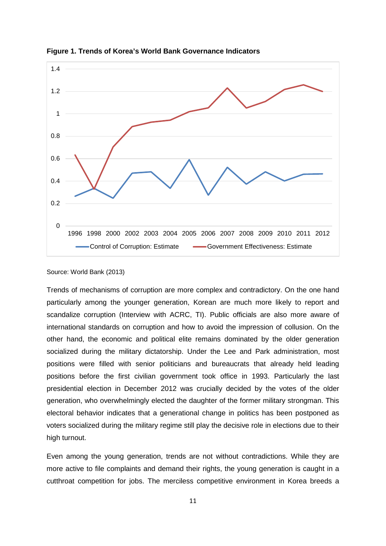

**Figure 1. Trends of Korea's World Bank Governance Indicators**

#### Source: [World Bank](#page-27-0) (2013)

Trends of mechanisms of corruption are more complex and contradictory. On the one hand particularly among the younger generation, Korean are much more likely to report and scandalize corruption (Interview with ACRC, TI). Public officials are also more aware of international standards on corruption and how to avoid the impression of collusion. On the other hand, the economic and political elite remains dominated by the older generation socialized during the military dictatorship. Under the Lee and Park administration, most positions were filled with senior politicians and bureaucrats that already held leading positions before the first civilian government took office in 1993. Particularly the last presidential election in December 2012 was crucially decided by the votes of the older generation, who overwhelmingly elected the daughter of the former military strongman. This electoral behavior indicates that a generational change in politics has been postponed as voters socialized during the military regime still play the decisive role in elections due to their high turnout.

Even among the young generation, trends are not without contradictions. While they are more active to file complaints and demand their rights, the young generation is caught in a cutthroat competition for jobs. The merciless competitive environment in Korea breeds a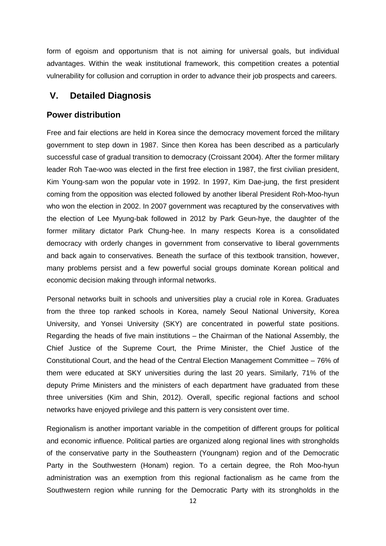form of egoism and opportunism that is not aiming for universal goals, but individual advantages. Within the weak institutional framework, this competition creates a potential vulnerability for collusion and corruption in order to advance their job prospects and careers.

## **V. Detailed Diagnosis**

## **Power distribution**

Free and fair elections are held in Korea since the democracy movement forced the military government to step down in 1987. Since then Korea has been described as a particularly successful case of gradual transition to democracy [\(Croissant](#page-25-4) 2004). After the former military leader Roh Tae-woo was elected in the first free election in 1987, the first civilian president, Kim Young-sam won the popular vote in 1992. In 1997, Kim Dae-jung, the first president coming from the opposition was elected followed by another liberal President Roh-Moo-hyun who won the election in 2002. In 2007 government was recaptured by the conservatives with the election of Lee Myung-bak followed in 2012 by Park Geun-hye, the daughter of the former military dictator Park Chung-hee. In many respects Korea is a consolidated democracy with orderly changes in government from conservative to liberal governments and back again to conservatives. Beneath the surface of this textbook transition, however, many problems persist and a few powerful social groups dominate Korean political and economic decision making through informal networks.

Personal networks built in schools and universities play a crucial role in Korea. Graduates from the three top ranked schools in Korea, namely Seoul National University, Korea University, and Yonsei University (SKY) are concentrated in powerful state positions. Regarding the heads of five main institutions – the Chairman of the National Assembly, the Chief Justice of the Supreme Court, the Prime Minister, the Chief Justice of the Constitutional Court, and the head of the Central Election Management Committee – 76% of them were educated at SKY universities during the last 20 years. Similarly, 71% of the deputy Prime Ministers and the ministers of each department have graduated from these three universities [\(Kim and Shin, 2012\)](#page-26-3). Overall, specific regional factions and school networks have enjoyed privilege and this pattern is very consistent over time.

Regionalism is another important variable in the competition of different groups for political and economic influence. Political parties are organized along regional lines with strongholds of the conservative party in the Southeastern (Youngnam) region and of the Democratic Party in the Southwestern (Honam) region. To a certain degree, the Roh Moo-hyun administration was an exemption from this regional factionalism as he came from the Southwestern region while running for the Democratic Party with its strongholds in the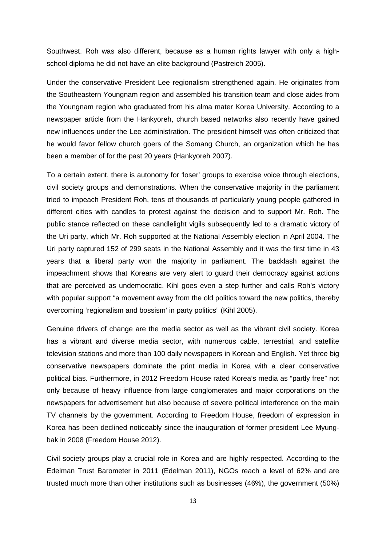Southwest. Roh was also different, because as a human rights lawyer with only a highschool diploma he did not have an elite background [\(Pastreich](#page-27-7) 2005).

Under the conservative President Lee regionalism strengthened again. He originates from the Southeastern Youngnam region and assembled his transition team and close aides from the Youngnam region who graduated from his alma mater Korea University. According to a newspaper article from the Hankyoreh, church based networks also recently have gained new influences under the Lee administration. The president himself was often criticized that he would favor fellow church goers of the Somang Church, an organization which he has been a member of for the past 20 years [\(Hankyoreh](#page-26-4) 2007).

To a certain extent, there is autonomy for 'loser' groups to exercise voice through elections, civil society groups and demonstrations. When the conservative majority in the parliament tried to impeach President Roh, tens of thousands of particularly young people gathered in different cities with candles to protest against the decision and to support Mr. Roh. The public stance reflected on these candlelight vigils subsequently led to a dramatic victory of the Uri party, which Mr. Roh supported at the National Assembly election in April 2004. The Uri party captured 152 of 299 seats in the National Assembly and it was the first time in 43 years that a liberal party won the majority in parliament. The backlash against the impeachment shows that Koreans are very alert to guard their democracy against actions that are perceived as undemocratic. Kihl goes even a step further and calls Roh's victory with popular support "a movement away from the old politics toward the new politics, thereby overcoming 'regionalism and bossism' in party politics" (Kihl [2005\)](#page-26-5).

Genuine drivers of change are the media sector as well as the vibrant civil society. Korea has a vibrant and diverse media sector, with numerous cable, terrestrial, and satellite television stations and more than 100 daily newspapers in Korean and English. Yet three big conservative newspapers dominate the print media in Korea with a clear conservative political bias. Furthermore, in 2012 Freedom House rated Korea's media as "partly free" not only because of heavy influence from large conglomerates and major corporations on the newspapers for advertisement but also because of severe political interference on the main TV channels by the government. According to Freedom House, freedom of expression in Korea has been declined noticeably since the inauguration of former president Lee Myungbak in 2008 [\(Freedom House](#page-25-6) 2012).

Civil society groups play a crucial role in Korea and are highly respected. According to the Edelman Trust Barometer in 2011 [\(Edelman](#page-25-7) 2011), NGOs reach a level of 62% and are trusted much more than other institutions such as businesses (46%), the government (50%)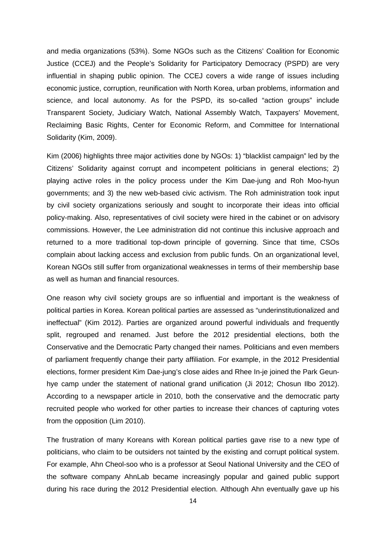and media organizations (53%). Some NGOs such as the Citizens' Coalition for Economic Justice (CCEJ) and the People's Solidarity for Participatory Democracy (PSPD) are very influential in shaping public opinion. The CCEJ covers a wide range of issues including economic justice, corruption, reunification with North Korea, urban problems, information and science, and local autonomy. As for the PSPD, its so-called "action groups" include Transparent Society, Judiciary Watch, National Assembly Watch, Taxpayers' Movement, Reclaiming Basic Rights, Center for Economic Reform, and Committee for International Solidarity [\(Kim, 2009\)](#page-26-6).

[Kim \(2006\)](#page-26-7) highlights three major activities done by NGOs: 1) "blacklist campaign" led by the Citizens' Solidarity against corrupt and incompetent politicians in general elections; 2) playing active roles in the policy process under the Kim Dae-jung and Roh Moo-hyun governments; and 3) the new web-based civic activism. The Roh administration took input by civil society organizations seriously and sought to incorporate their ideas into official policy-making. Also, representatives of civil society were hired in the cabinet or on advisory commissions. However, the Lee administration did not continue this inclusive approach and returned to a more traditional top-down principle of governing. Since that time, CSOs complain about lacking access and exclusion from public funds. On an organizational level, Korean NGOs still suffer from organizational weaknesses in terms of their membership base as well as human and financial resources.

One reason why civil society groups are so influential and important is the weakness of political parties in Korea. Korean political parties are assessed as "underinstitutionalized and ineffectual" (Kim 2012). Parties are organized around powerful individuals and frequently split, regrouped and renamed. Just before the 2012 presidential elections, both the Conservative and the Democratic Party changed their names. Politicians and even members of parliament frequently change their party affiliation. For example, in the 2012 Presidential elections, former president Kim Dae-jung's close aides and Rhee In-je joined the Park Geunhye camp under the statement of national grand unification (Ji [2012;](#page-26-8) [Chosun Ilbo](#page-25-8) 2012). According to a newspaper article in 2010, both the conservative and the democratic party recruited people who worked for other parties to increase their chances of capturing votes from the opposition [\(Lim 2010\)](#page-27-8).

The frustration of many Koreans with Korean political parties gave rise to a new type of politicians, who claim to be outsiders not tainted by the existing and corrupt political system. For example, Ahn Cheol-soo who is a professor at Seoul National University and the CEO of the software company AhnLab became increasingly popular and gained public support during his race during the 2012 Presidential election. Although Ahn eventually gave up his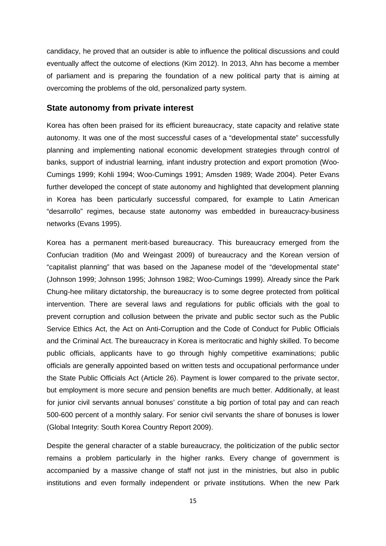candidacy, he proved that an outsider is able to influence the political discussions and could eventually affect the outcome of elections (Kim [2012\)](#page-26-9). In 2013, Ahn has become a member of parliament and is preparing the foundation of a new political party that is aiming at overcoming the problems of the old, personalized party system.

#### **State autonomy from private interest**

Korea has often been praised for its efficient bureaucracy, state capacity and relative state autonomy. It was one of the most successful cases of a "developmental state" successfully planning and implementing national economic development strategies through control of banks, support of industrial learning, infant industry protection and export promotion [\(Woo-](#page-27-9)[Cumings](#page-27-9) 1999; Kohli [1994;](#page-26-10) [Woo-Cumings](#page-27-10) 1991; [Amsden](#page-25-9) 1989; [Wade 2004\)](#page-27-11). Peter Evans further developed the concept of state autonomy and highlighted that development planning in Korea has been particularly successful compared, for example to Latin American "desarrollo" regimes, because state autonomy was embedded in bureaucracy-business networks [\(Evans](#page-25-10) 1995).

Korea has a permanent merit-based bureaucracy. This bureaucracy emerged from the Confucian tradition [\(Mo and Weingast](#page-27-12) 2009) of bureaucracy and the Korean version of "capitalist planning" that was based on the Japanese model of the "developmental state" [\(Johnson](#page-26-11) 1999; [Johnson](#page-26-12) 1995; [Johnson](#page-26-13) 1982; [Woo-Cumings](#page-27-9) 1999). Already since the Park Chung-hee military dictatorship, the bureaucracy is to some degree protected from political intervention. There are several laws and regulations for public officials with the goal to prevent corruption and collusion between the private and public sector such as the Public Service Ethics Act, the Act on Anti-Corruption and the Code of Conduct for Public Officials and the Criminal Act. The bureaucracy in Korea is meritocratic and highly skilled. To become public officials, applicants have to go through highly competitive examinations; public officials are generally appointed based on written tests and occupational performance under the State Public Officials Act (Article 26). Payment is lower compared to the private sector, but employment is more secure and pension benefits are much better. Additionally, at least for junior civil servants annual bonuses' constitute a big portion of total pay and can reach 500-600 percent of a monthly salary. For senior civil servants the share of bonuses is lower (Global Integrity: South Korea Country Report 2009).

Despite the general character of a stable bureaucracy, the politicization of the public sector remains a problem particularly in the higher ranks. Every change of government is accompanied by a massive change of staff not just in the ministries, but also in public institutions and even formally independent or private institutions. When the new Park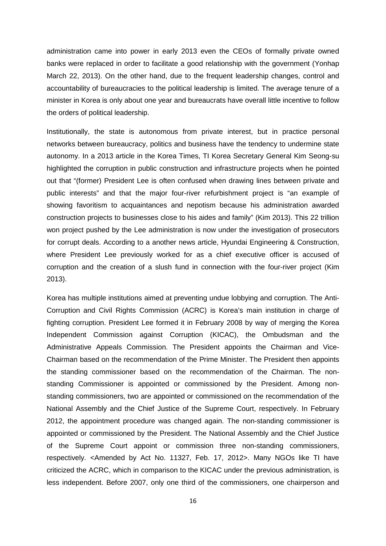administration came into power in early 2013 even the CEOs of formally private owned banks were replaced in order to facilitate a good relationship with the government (Yonhap March 22, 2013). On the other hand, due to the frequent leadership changes, control and accountability of bureaucracies to the political leadership is limited. The average tenure of a minister in Korea is only about one year and bureaucrats have overall little incentive to follow the orders of political leadership.

Institutionally, the state is autonomous from private interest, but in practice personal networks between bureaucracy, politics and business have the tendency to undermine state autonomy. In a 2013 article in the Korea Times, TI Korea Secretary General Kim Seong-su highlighted the corruption in public construction and infrastructure projects when he pointed out that "(former) President Lee is often confused when drawing lines between private and public interests" and that the major four-river refurbishment project is "an example of showing favoritism to acquaintances and nepotism because his administration awarded construction projects to businesses close to his aides and family" (Kim [2013\)](#page-26-14). This 22 trillion won project pushed by the Lee administration is now under the investigation of prosecutors for corrupt deals. According to a another news article, Hyundai Engineering & Construction, where President Lee previously worked for as a chief executive officer is accused of corruption and the creation of a slush fund in connection with the four-river project [\(Kim](#page-26-14) [2013\)](#page-26-14).

Korea has multiple institutions aimed at preventing undue lobbying and corruption. The Anti-Corruption and Civil Rights Commission (ACRC) is Korea's main institution in charge of fighting corruption. President Lee formed it in February 2008 by way of merging the Korea Independent Commission against Corruption (KICAC), the Ombudsman and the Administrative Appeals Commission. The President appoints the Chairman and Vice-Chairman based on the recommendation of the Prime Minister. The President then appoints the standing commissioner based on the recommendation of the Chairman. The nonstanding Commissioner is appointed or commissioned by the President. Among nonstanding commissioners, two are appointed or commissioned on the recommendation of the National Assembly and the Chief Justice of the Supreme Court, respectively. In February 2012, the appointment procedure was changed again. The non-standing commissioner is appointed or commissioned by the President. The National Assembly and the Chief Justice of the Supreme Court appoint or commission three non-standing commissioners, respectively. <Amended by Act No. 11327, Feb. 17, 2012>. Many NGOs like TI have criticized the ACRC, which in comparison to the KICAC under the previous administration, is less independent. Before 2007, only one third of the commissioners, one chairperson and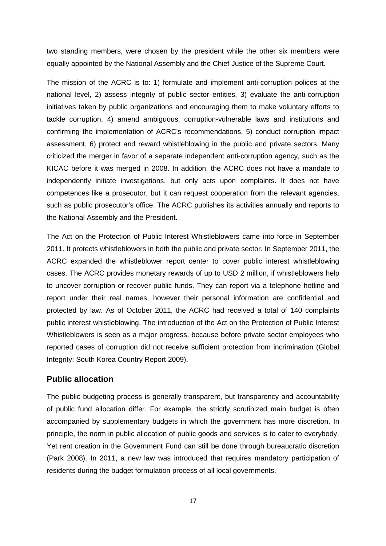two standing members, were chosen by the president while the other six members were equally appointed by the National Assembly and the Chief Justice of the Supreme Court.

The mission of the ACRC is to: 1) formulate and implement anti-corruption polices at the national level, 2) assess integrity of public sector entities, 3) evaluate the anti-corruption initiatives taken by public organizations and encouraging them to make voluntary efforts to tackle corruption, 4) amend ambiguous, corruption-vulnerable laws and institutions and confirming the implementation of ACRC's recommendations, 5) conduct corruption impact assessment, 6) protect and reward whistleblowing in the public and private sectors. Many criticized the merger in favor of a separate independent anti-corruption agency, such as the KICAC before it was merged in 2008. In addition, the ACRC does not have a mandate to independently initiate investigations, but only acts upon complaints. It does not have competences like a prosecutor, but it can request cooperation from the relevant agencies, such as public prosecutor's office. The ACRC publishes its activities annually and reports to the National Assembly and the President.

The Act on the Protection of Public Interest Whistleblowers came into force in September 2011. It protects whistleblowers in both the public and private sector. In September 2011, the ACRC expanded the whistleblower report center to cover public interest whistleblowing cases. The ACRC provides monetary rewards of up to USD 2 million, if whistleblowers help to uncover corruption or recover public funds. They can report via a telephone hotline and report under their real names, however their personal information are confidential and protected by law. As of October 2011, the ACRC had received a total of 140 complaints public interest whistleblowing. The introduction of the Act on the Protection of Public Interest Whistleblowers is seen as a major progress, because before private sector employees who reported cases of corruption did not receive sufficient protection from incrimination (Global Integrity: South Korea Country Report 2009).

## **Public allocation**

The public budgeting process is generally transparent, but transparency and accountability of public fund allocation differ. For example, the strictly scrutinized main budget is often accompanied by supplementary budgets in which the government has more discretion. In principle, the norm in public allocation of public goods and services is to cater to everybody. Yet rent creation in the Government Fund can still be done through bureaucratic discretion (Park [2008\)](#page-27-13). In 2011, a new law was introduced that requires mandatory participation of residents during the budget formulation process of all local governments.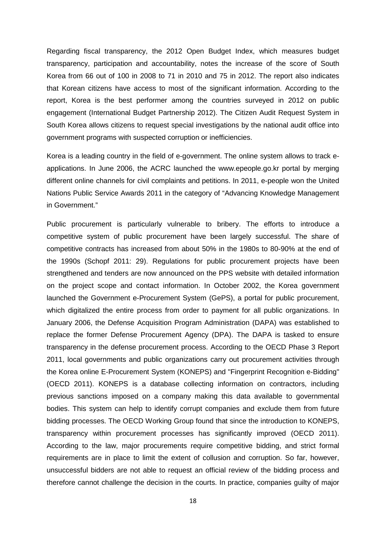Regarding fiscal transparency, the 2012 Open Budget Index, which measures budget transparency, participation and accountability, notes the increase of the score of South Korea from 66 out of 100 in 2008 to 71 in 2010 and 75 in 2012. The report also indicates that Korean citizens have access to most of the significant information. According to the report, Korea is the best performer among the countries surveyed in 2012 on public engagement [\(International Budget Partnership](#page-26-15) 2012). The Citizen Audit Request System in South Korea allows citizens to request special investigations by the national audit office into government programs with suspected corruption or inefficiencies.

Korea is a leading country in the field of e-government. The online system allows to track eapplications. In June 2006, the ACRC launched the www.epeople.go.kr portal by merging different online channels for civil complaints and petitions. In 2011, e-people won the United Nations Public Service Awards 2011 in the category of "Advancing Knowledge Management in Government."

Public procurement is particularly vulnerable to bribery. The efforts to introduce a competitive system of public procurement have been largely successful. The share of competitive contracts has increased from about 50% in the 1980s to 80-90% at the end of the 1990s (Schopf [2011: 29\)](#page-27-3). Regulations for public procurement projects have been strengthened and tenders are now announced on the PPS website with detailed information on the project scope and contact information. In October 2002, the Korea government launched the Government e-Procurement System (GePS), a portal for public procurement, which digitalized the entire process from order to payment for all public organizations. In January 2006, the Defense Acquisition Program Administration (DAPA) was established to replace the former Defense Procurement Agency (DPA). The DAPA is tasked to ensure transparency in the defense procurement process. According to the OECD Phase 3 Report 2011, local governments and public organizations carry out procurement activities through the Korea online E-Procurement System (KONEPS) and "Fingerprint Recognition e-Bidding" [\(OECD](#page-27-14) 2011). KONEPS is a database collecting information on contractors, including previous sanctions imposed on a company making this data available to governmental bodies. This system can help to identify corrupt companies and exclude them from future bidding processes. The OECD Working Group found that since the introduction to KONEPS, transparency within procurement processes has significantly improved [\(OECD](#page-27-14) 2011). According to the law, major procurements require competitive bidding, and strict formal requirements are in place to limit the extent of collusion and corruption. So far, however, unsuccessful bidders are not able to request an official review of the bidding process and therefore cannot challenge the decision in the courts. In practice, companies guilty of major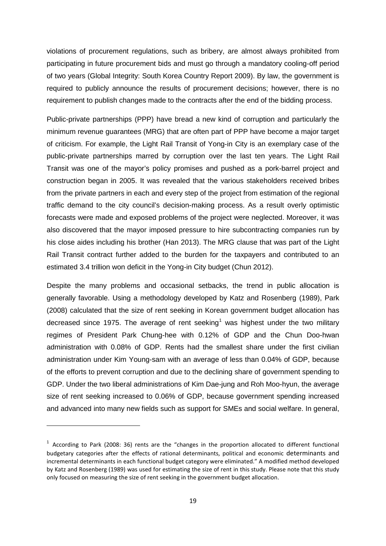violations of procurement regulations, such as bribery, are almost always prohibited from participating in future procurement bids and must go through a mandatory cooling-off period of two years (Global Integrity: South Korea Country Report 2009). By law, the government is required to publicly announce the results of procurement decisions; however, there is no requirement to publish changes made to the contracts after the end of the bidding process.

Public-private partnerships (PPP) have bread a new kind of corruption and particularly the minimum revenue guarantees (MRG) that are often part of PPP have become a major target of criticism. For example, the Light Rail Transit of Yong-in City is an exemplary case of the public-private partnerships marred by corruption over the last ten years. The Light Rail Transit was one of the mayor's policy promises and pushed as a pork-barrel project and construction began in 2005. It was revealed that the various stakeholders received bribes from the private partners in each and every step of the project from estimation of the regional traffic demand to the city council's decision-making process. As a result overly optimistic forecasts were made and exposed problems of the project were neglected. Moreover, it was also discovered that the mayor imposed pressure to hire subcontracting companies run by his close aides including his brother (Han [2013\)](#page-25-11). The MRG clause that was part of the Light Rail Transit contract further added to the burden for the taxpayers and contributed to an estimated 3.4 trillion won deficit in the Yong-in City budget [\(Chun](#page-25-12) 2012).

Despite the many problems and occasional setbacks, the trend in public allocation is generally favorable. Using a methodology developed by Katz and Rosenberg [\(1989\)](#page-26-16), [Park](#page-27-13)  (2008) calculated that the size of rent seeking in Korean government budget allocation has decreased since [1](#page-18-0)975. The average of rent seeking<sup>1</sup> was highest under the two military regimes of President Park Chung-hee with 0.12% of GDP and the Chun Doo-hwan administration with 0.08% of GDP. Rents had the smallest share under the first civilian administration under Kim Young-sam with an average of less than 0.04% of GDP, because of the efforts to prevent corruption and due to the declining share of government spending to GDP. Under the two liberal administrations of Kim Dae-jung and Roh Moo-hyun, the average size of rent seeking increased to 0.06% of GDP, because government spending increased and advanced into many new fields such as support for SMEs and social welfare. In general,

**.** 

<span id="page-18-0"></span> $1$  According to Park (2008: 36) rents are the "changes in the proportion allocated to different functional budgetary categories after the effects of rational determinants, political and economic determinants and incremental determinants in each functional budget category were eliminated." A modified method developed by Katz and Rosenberg (1989) was used for estimating the size of rent in this study. Please note that this study only focused on measuring the size of rent seeking in the government budget allocation.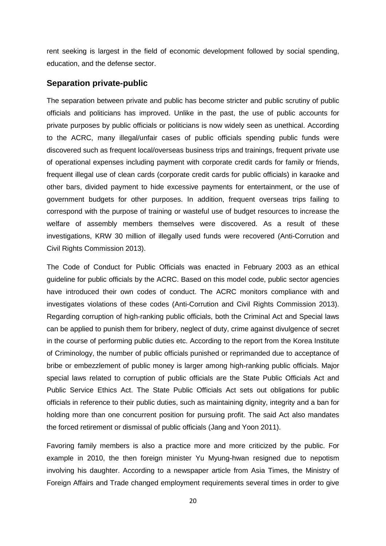rent seeking is largest in the field of economic development followed by social spending, education, and the defense sector.

### **Separation private-public**

The separation between private and public has become stricter and public scrutiny of public officials and politicians has improved. Unlike in the past, the use of public accounts for private purposes by public officials or politicians is now widely seen as unethical. According to the ACRC, many illegal/unfair cases of public officials spending public funds were discovered such as frequent local/overseas business trips and trainings, frequent private use of operational expenses including payment with corporate credit cards for family or friends, frequent illegal use of clean cards (corporate credit cards for public officials) in karaoke and other bars, divided payment to hide excessive payments for entertainment, or the use of government budgets for other purposes. In addition, frequent overseas trips failing to correspond with the purpose of training or wasteful use of budget resources to increase the welfare of assembly members themselves were discovered. As a result of these investigations, KRW 30 million of illegally used funds were recovered [\(Anti-Corrution and](#page-25-3) [Civil Rights Commission](#page-25-3) 2013).

The Code of Conduct for Public Officials was enacted in February 2003 as an ethical guideline for public officials by the ACRC. Based on this model code, public sector agencies have introduced their own codes of conduct. The ACRC monitors compliance with and investigates violations of these codes (Anti-Corrution and [Civil Rights Commission](#page-25-3) 2013). Regarding corruption of high-ranking public officials, both the Criminal Act and Special laws can be applied to punish them for bribery, neglect of duty, crime against divulgence of secret in the course of performing public duties etc. According to the report from the Korea Institute of Criminology, the number of public officials punished or reprimanded due to acceptance of bribe or embezzlement of public money is larger among high-ranking public officials. Major special laws related to corruption of public officials are the State Public Officials Act and Public Service Ethics Act. The State Public Officials Act sets out obligations for public officials in reference to their public duties, such as maintaining dignity, integrity and a ban for holding more than one concurrent position for pursuing profit. The said Act also mandates the forced retirement or dismissal of public officials [\(Jang and Yoon](#page-26-17) 2011).

Favoring family members is also a practice more and more criticized by the public. For example in 2010, the then foreign minister Yu Myung-hwan resigned due to nepotism involving his daughter. According to a newspaper article from Asia Times, the Ministry of Foreign Affairs and Trade changed employment requirements several times in order to give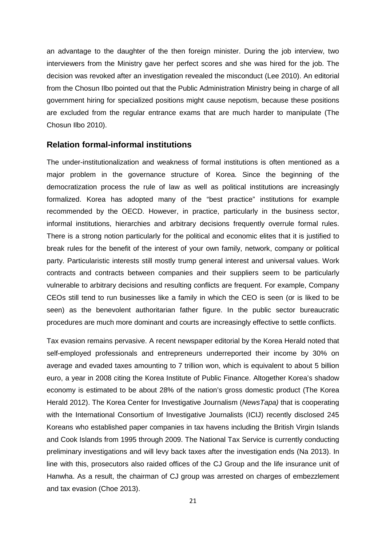an advantage to the daughter of the then foreign minister. During the job interview, two interviewers from the Ministry gave her perfect scores and she was hired for the job. The decision was revoked after an investigation revealed the misconduct (Lee [2010\)](#page-26-18). An editorial from the Chosun Ilbo pointed out that the Public Administration Ministry being in charge of all government hiring for specialized positions might cause nepotism, because these positions are excluded from the regular entrance exams that are much harder to manipulate (The Chosun Ilbo 2010).

#### **Relation formal-informal institutions**

The under-institutionalization and weakness of formal institutions is often mentioned as a major problem in the governance structure of Korea. Since the beginning of the democratization process the rule of law as well as political institutions are increasingly formalized. Korea has adopted many of the "best practice" institutions for example recommended by the OECD. However, in practice, particularly in the business sector, informal institutions, hierarchies and arbitrary decisions frequently overrule formal rules. There is a strong notion particularly for the political and economic elites that it is justified to break rules for the benefit of the interest of your own family, network, company or political party. Particularistic interests still mostly trump general interest and universal values. Work contracts and contracts between companies and their suppliers seem to be particularly vulnerable to arbitrary decisions and resulting conflicts are frequent. For example, Company CEOs still tend to run businesses like a family in which the CEO is seen (or is liked to be seen) as the benevolent authoritarian father figure. In the public sector bureaucratic procedures are much more dominant and courts are increasingly effective to settle conflicts.

Tax evasion remains pervasive. A recent newspaper editorial by the Korea Herald noted that self-employed professionals and entrepreneurs underreported their income by 30% on average and evaded taxes amounting to 7 trillion won, which is equivalent to about 5 billion euro, a year in 2008 citing the Korea Institute of Public Finance. Altogether Korea's shadow economy is estimated to be about 28% of the nation's gross domestic product [\(The Korea](#page-25-13)  [Herald](#page-25-13) 2012). The Korea Center for Investigative Journalism (*NewsTapa)* that is cooperating with the International Consortium of Investigative Journalists (ICIJ) recently disclosed 245 Koreans who established paper companies in tax havens including the British Virgin Islands and Cook Islands from 1995 through 2009. The National Tax Service is currently conducting preliminary investigations and will levy back taxes after the investigation ends (Na [2013\)](#page-27-15). In line with this, prosecutors also raided offices of the CJ Group and the life insurance unit of Hanwha. As a result, the chairman of CJ group was arrested on charges of embezzlement and tax evasion [\(Choe](#page-25-14) 2013).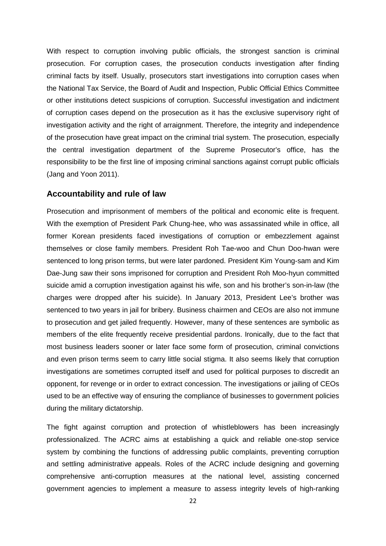With respect to corruption involving public officials, the strongest sanction is criminal prosecution. For corruption cases, the prosecution conducts investigation after finding criminal facts by itself. Usually, prosecutors start investigations into corruption cases when the National Tax Service, the Board of Audit and Inspection, Public Official Ethics Committee or other institutions detect suspicions of corruption. Successful investigation and indictment of corruption cases depend on the prosecution as it has the exclusive supervisory right of investigation activity and the right of arraignment. Therefore, the integrity and independence of the prosecution have great impact on the criminal trial system. The prosecution, especially the central investigation department of the Supreme Prosecutor's office, has the responsibility to be the first line of imposing criminal sanctions against corrupt public officials [\(Jang and Yoon](#page-26-17) 2011).

### **Accountability and rule of law**

Prosecution and imprisonment of members of the political and economic elite is frequent. With the exemption of President Park Chung-hee, who was assassinated while in office, all former Korean presidents faced investigations of corruption or embezzlement against themselves or close family members. President Roh Tae-woo and Chun Doo-hwan were sentenced to long prison terms, but were later pardoned. President Kim Young-sam and Kim Dae-Jung saw their sons imprisoned for corruption and President Roh Moo-hyun committed suicide amid a corruption investigation against his wife, son and his brother's son-in-law (the charges were dropped after his suicide). In January 2013, President Lee's brother was sentenced to two years in jail for bribery. Business chairmen and CEOs are also not immune to prosecution and get jailed frequently. However, many of these sentences are symbolic as members of the elite frequently receive presidential pardons. Ironically, due to the fact that most business leaders sooner or later face some form of prosecution, criminal convictions and even prison terms seem to carry little social stigma. It also seems likely that corruption investigations are sometimes corrupted itself and used for political purposes to discredit an opponent, for revenge or in order to extract concession. The investigations or jailing of CEOs used to be an effective way of ensuring the compliance of businesses to government policies during the military dictatorship.

The fight against corruption and protection of whistleblowers has been increasingly professionalized. The ACRC aims at establishing a quick and reliable one-stop service system by combining the functions of addressing public complaints, preventing corruption and settling administrative appeals. Roles of the ACRC include designing and governing comprehensive anti-corruption measures at the national level, assisting concerned government agencies to implement a measure to assess integrity levels of high-ranking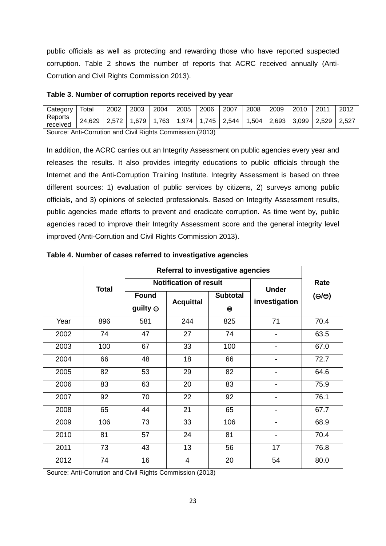public officials as well as protecting and rewarding those who have reported suspected corruption. Table 2 shows the number of reports that ACRC received annually [\(Anti-](#page-25-3)[Corrution and Civil Rights Commission](#page-25-3) 2013).

#### <span id="page-22-0"></span>**Table 3. Number of corruption reports received by year**

| Category            | Totai                                                                    | 2002 | 2003 | 2004 | 2005 | 2006 | 2007 | 2008 | 2009 | 2010 | 2011 | -2012 |
|---------------------|--------------------------------------------------------------------------|------|------|------|------|------|------|------|------|------|------|-------|
| Reports<br>received | 24,629 2,572 1,679 1,763 1,974 1,745 2,544 1,504 2,693 3,099 2,529 2,527 |      |      |      |      |      |      |      |      |      |      |       |
|                     | Course, Anti Compiler and Chill Dights Commission (0040)                 |      |      |      |      |      |      |      |      |      |      |       |

Source: [Anti-Corrution and Civil Rights Commission](#page-25-3) (2013)

In addition, the ACRC carries out an Integrity Assessment on public agencies every year and releases the results. It also provides integrity educations to public officials through the Internet and the Anti-Corruption Training Institute. Integrity Assessment is based on three different sources: 1) evaluation of public services by citizens, 2) surveys among public officials, and 3) opinions of selected professionals. Based on Integrity Assessment results, public agencies made efforts to prevent and eradicate corruption. As time went by, public agencies raced to improve their Integrity Assessment score and the general integrity level improved [\(Anti-Corrution and Civil Rights Commission](#page-25-3) 2013).

|      |              | Referral to investigative agencies |                               |                              |                          |                     |
|------|--------------|------------------------------------|-------------------------------|------------------------------|--------------------------|---------------------|
|      | <b>Total</b> |                                    | <b>Notification of result</b> | <b>Under</b>                 | Rate                     |                     |
|      |              | <b>Found</b><br>guilty $\ominus$   | <b>Acquittal</b>              | <b>Subtotal</b><br>$\ominus$ | investigation            | $(\ominus/\ominus)$ |
| Year | 896          | 581                                | 244                           | 825                          | 71                       | 70.4                |
| 2002 | 74           | 47                                 | 27                            | 74                           | ۰                        | 63.5                |
| 2003 | 100          | 67                                 | 33                            | 100                          | $\overline{\phantom{a}}$ | 67.0                |
| 2004 | 66           | 48                                 | 18                            | 66                           | $\blacksquare$           | 72.7                |
| 2005 | 82           | 53                                 | 29                            | 82                           | -                        | 64.6                |
| 2006 | 83           | 63                                 | 20                            | 83                           | $\overline{\phantom{a}}$ | 75.9                |
| 2007 | 92           | 70                                 | 22                            | 92                           | $\overline{\phantom{a}}$ | 76.1                |
| 2008 | 65           | 44                                 | 21                            | 65                           | -                        | 67.7                |
| 2009 | 106          | 73                                 | 33                            | 106                          | $\overline{\phantom{a}}$ | 68.9                |
| 2010 | 81           | 57                                 | 24                            | 81                           | $\blacksquare$           | 70.4                |
| 2011 | 73           | 43                                 | 13                            | 56                           | 17                       | 76.8                |
| 2012 | 74           | 16                                 | 4                             | 20                           | 54                       | 80.0                |

#### <span id="page-22-1"></span>**Table 4. Number of cases referred to investigative agencies**

Source: [Anti-Corrution and Civil Rights Commission](#page-25-3) (2013)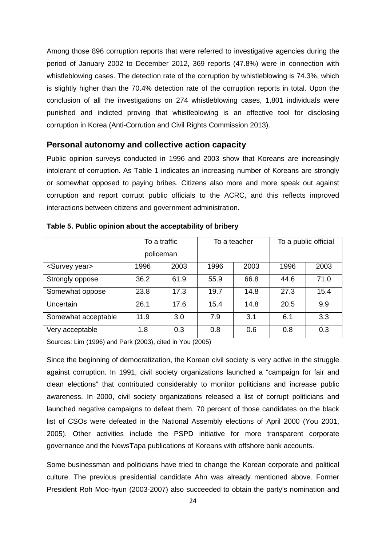Among those 896 corruption reports that were referred to investigative agencies during the period of January 2002 to December 2012, 369 reports (47.8%) were in connection with whistleblowing cases. The detection rate of the corruption by whistleblowing is 74.3%, which is slightly higher than the 70.4% detection rate of the corruption reports in total. Upon the conclusion of all the investigations on 274 whistleblowing cases, 1,801 individuals were punished and indicted proving that whistleblowing is an effective tool for disclosing corruption in Korea [\(Anti-Corrution and Civil Rights Commission](#page-25-3) 2013).

#### **Personal autonomy and collective action capacity**

Public opinion surveys conducted in 1996 and 2003 show that Koreans are increasingly intolerant of corruption. As Table 1 indicates an increasing number of Koreans are strongly or somewhat opposed to paying bribes. Citizens also more and more speak out against corruption and report corrupt public officials to the ACRC, and this reflects improved interactions between citizens and government administration.

|                           | To a traffic<br>policeman |      |      | To a teacher | To a public official |      |  |
|---------------------------|---------------------------|------|------|--------------|----------------------|------|--|
|                           |                           |      |      |              |                      |      |  |
| <survey year=""></survey> | 1996                      | 2003 | 1996 | 2003         | 1996                 | 2003 |  |
| Strongly oppose           | 36.2                      | 61.9 | 55.9 | 66.8         | 44.6                 | 71.0 |  |
| Somewhat oppose           | 23.8                      | 17.3 | 19.7 | 14.8         | 27.3                 | 15.4 |  |
| Uncertain                 | 26.1                      | 17.6 | 15.4 | 14.8         | 20.5                 | 9.9  |  |
| Somewhat acceptable       | 11.9                      | 3.0  | 7.9  | 3.1          | 6.1                  | 3.3  |  |
| Very acceptable           | 1.8                       | 0.3  | 0.8  | 0.6          | 0.8                  | 0.3  |  |

<span id="page-23-0"></span>**Table 5. Public opinion about the acceptability of bribery**

Sources: Lim (1996) and Park (2003), cited in You [\(2005\)](#page-27-16)

Since the beginning of democratization, the Korean civil society is very active in the struggle against corruption. In 1991, civil society organizations launched a "campaign for fair and clean elections" that contributed considerably to monitor politicians and increase public awareness. In 2000, civil society organizations released a list of corrupt politicians and launched negative campaigns to defeat them. 70 percent of those candidates on the black list of CSOs were defeated in the National Assembly elections of April 2000 (You 2001, 2005). Other activities include the PSPD initiative for more transparent corporate governance and the NewsTapa publications of Koreans with offshore bank accounts.

Some businessman and politicians have tried to change the Korean corporate and political culture. The previous presidential candidate Ahn was already mentioned above. Former President Roh Moo-hyun (2003-2007) also succeeded to obtain the party's nomination and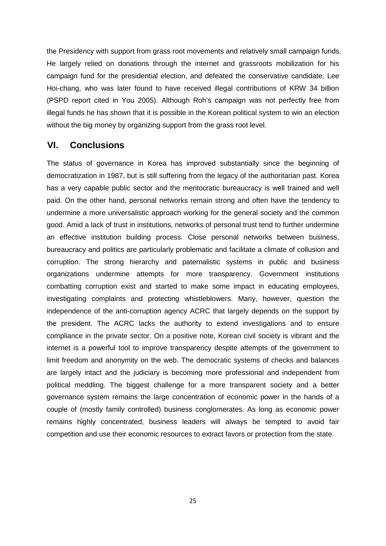the Presidency with support from grass root movements and relatively small campaign funds. He largely relied on donations through the internet and grassroots mobilization for his campaign fund for the presidential election, and defeated the conservative candidate, Lee Hoi-chang, who was later found to have received illegal contributions of KRW 34 billion [\(PSPD report cited in You](#page-27-16) 2005). Although Roh's campaign was not perfectly free from illegal funds he has shown that it is possible in the Korean political system to win an election without the big money by organizing support from the grass root level.

## **VI. Conclusions**

The status of governance in Korea has improved substantially since the beginning of democratization in 1987, but is still suffering from the legacy of the authoritarian past. Korea has a very capable public sector and the meritocratic bureaucracy is well trained and well paid. On the other hand, personal networks remain strong and often have the tendency to undermine a more universalistic approach working for the general society and the common good. Amid a lack of trust in institutions, networks of personal trust tend to further undermine an effective institution building process. Close personal networks between business, bureaucracy and politics are particularly problematic and facilitate a climate of collusion and corruption. The strong hierarchy and paternalistic systems in public and business organizations undermine attempts for more transparency. Government institutions combatting corruption exist and started to make some impact in educating employees, investigating complaints and protecting whistleblowers. Many, however, question the independence of the anti-corruption agency ACRC that largely depends on the support by the president. The ACRC lacks the authority to extend investigations and to ensure compliance in the private sector. On a positive note, Korean civil society is vibrant and the internet is a powerful tool to improve transparency despite attempts of the government to limit freedom and anonymity on the web. The democratic systems of checks and balances are largely intact and the judiciary is becoming more professional and independent from political meddling. The biggest challenge for a more transparent society and a better governance system remains the large concentration of economic power in the hands of a couple of (mostly family controlled) business conglomerates. As long as economic power remains highly concentrated, business leaders will always be tempted to avoid fair competition and use their economic resources to extract favors or protection from the state.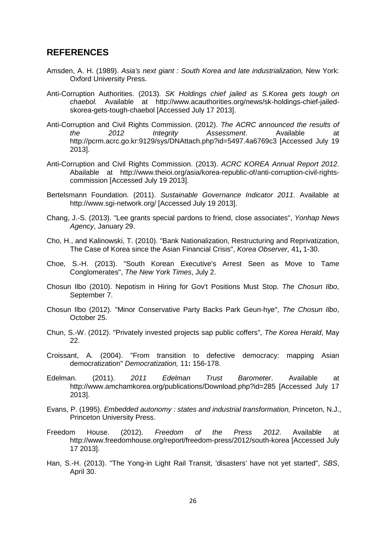## **REFERENCES**

- <span id="page-25-9"></span>Amsden, A. H. (1989). *Asia's next giant : South Korea and late industrialization,* New York: Oxford University Press.
- <span id="page-25-1"></span>Anti-Corruption Authorities. (2013). *SK Holdings chief jailed as S.Korea gets tough on chaebol.* Available at http://www.acauthorities.org/news/sk-holdings-chief-jailedskorea-gets-tough-chaebol [Accessed July 17 2013].
- <span id="page-25-3"></span>Anti-Corruption and Civil Rights Commission. (2012). *The ACRC announced the results of the 2012 Integrity Assessment*. Available at http://pcrm.acrc.go.kr:9129/sys/DNAttach.php?id=5497.4a6769c3 [Accessed July 19 2013].
- Anti-Corruption and Civil Rights Commission. (2013). *ACRC KOREA Annual Report 2012*. Abailable at http://www.theioi.org/asia/korea-republic-of/anti-corruption-civil-rightscommission [Accessed July 19 2013].
- <span id="page-25-2"></span>Bertelsmann Foundation. (2011). *Sustainable Governance Indicator 2011*. Available at http://www.sgi-network.org/ [Accessed July 19 2013].
- <span id="page-25-0"></span>Chang, J.-S. (2013). "Lee grants special pardons to friend, close associates", *Yonhap News Agency*, January 29.
- <span id="page-25-5"></span>Cho, H., and Kalinowski, T. (2010). "Bank Nationalization, Restructuring and Reprivatization, The Case of Korea since the Asian Financial Crisis", *Korea Observer,* 41**,** 1-30.
- <span id="page-25-14"></span>Choe, S.-H. (2013). "South Korean Executive's Arrest Seen as Move to Tame Conglomerates", *The New York Times*, July 2.
- <span id="page-25-13"></span><span id="page-25-8"></span>Chosun Ilbo (2010). Nepotism in Hiring for Gov't Positions Must Stop. *The Chosun Ilbo*, September 7.
- Chosun Ilbo (2012). "Minor Conservative Party Backs Park Geun-hye", *The Chosun Ilbo*, October 25.
- <span id="page-25-12"></span>Chun, S.-W. (2012). "Privately invested projects sap public coffers", *The Korea Herald*, May 22.
- <span id="page-25-4"></span>Croissant, A. (2004). "From transition to defective democracy: mapping Asian democratization" *Democratization,* 11**:** 156-178.
- <span id="page-25-7"></span>Edelman. (2011). *2011 Edelman Trust Barometer*. Available at http://www.amchamkorea.org/publications/Download.php?id=285 [Accessed July 17 2013].
- <span id="page-25-10"></span>Evans, P. (1995). *Embedded autonomy : states and industrial transformation,* Princeton, N.J., Princeton University Press.
- <span id="page-25-6"></span>Freedom House. (2012). *Freedom of the Press 2012*. Available at http://www.freedomhouse.org/report/freedom-press/2012/south-korea [Accessed July 17 2013].
- <span id="page-25-11"></span>Han, S.-H. (2013). "The Yong-in Light Rail Transit, 'disasters' have not yet started", *SBS*, April 30.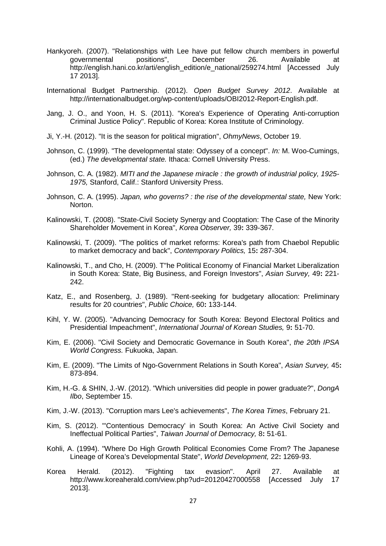- <span id="page-26-4"></span>Hankyoreh. (2007). "Relationships with Lee have put fellow church members in powerful<br>governmental positions". December 26. Available at governmental positions", December 26. Available at http://english.hani.co.kr/arti/english\_edition/e\_national/259274.html [Accessed July 17 2013].
- <span id="page-26-15"></span>International Budget Partnership. (2012). *Open Budget Survey 2012*. Available at http://internationalbudget.org/wp-content/uploads/OBI2012-Report-English.pdf.
- <span id="page-26-17"></span>Jang, J. O., and Yoon, H. S. (2011). "Korea's Experience of Operating Anti-corruption Criminal Justice Policy". Republic of Korea: Korea Institute of Criminology.
- <span id="page-26-8"></span>Ji, Y.-H. (2012). "It is the season for political migration", *OhmyNews*, October 19.
- <span id="page-26-11"></span>Johnson, C. (1999). "The developmental state: Odyssey of a concept". *In:* M. Woo-Cumings, (ed.) *The developmental state.* Ithaca: Cornell University Press.
- <span id="page-26-13"></span>Johnson, C. A. (1982). *MITI and the Japanese miracle : the growth of industrial policy, 1925- 1975,* Stanford, Calif.: Stanford University Press.
- <span id="page-26-12"></span>Johnson, C. A. (1995). *Japan, who governs? : the rise of the developmental state,* New York: Norton.
- <span id="page-26-0"></span>Kalinowski, T. (2008). "State-Civil Society Synergy and Cooptation: The Case of the Minority Shareholder Movement in Korea", *Korea Observer,* 39**:** 339-367.
- <span id="page-26-2"></span>Kalinowski, T. (2009). "The politics of market reforms: Korea's path from Chaebol Republic to market democracy and back", *Contemporary Politics,* 15**:** 287-304.
- <span id="page-26-1"></span>Kalinowski, T., and Cho, H. (2009). T"he Political Economy of Financial Market Liberalization in South Korea: State, Big Business, and Foreign Investors", *Asian Survey,* 49**:** 221- 242.
- <span id="page-26-16"></span>Katz, E., and Rosenberg, J. (1989). "Rent-seeking for budgetary allocation: Preliminary results for 20 countries", *Public Choice,* 60**:** 133-144.
- <span id="page-26-5"></span>Kihl, Y. W. (2005). "Advancing Democracy for South Korea: Beyond Electoral Politics and Presidential Impeachment", *International Journal of Korean Studies,* 9**:** 51-70.
- <span id="page-26-7"></span>Kim, E. (2006). "Civil Society and Democratic Governance in South Korea", *the 20th IPSA World Congress.* Fukuoka, Japan.
- <span id="page-26-6"></span>Kim, E. (2009). "The Limits of Ngo-Government Relations in South Korea", *Asian Survey,* 45**:** 873-894.
- <span id="page-26-3"></span>Kim, H.-G. & SHIN, J.-W. (2012). "Which universities did people in power graduate?", *DongA Ilbo*, September 15.
- <span id="page-26-14"></span>Kim, J.-W. (2013). "Corruption mars Lee's achievements", *The Korea Times*, February 21.
- <span id="page-26-9"></span>Kim, S. (2012). "'Contentious Democracy' in South Korea: An Active Civil Society and Ineffectual Political Parties", *Taiwan Journal of Democracy,* 8**:** 51-61.
- <span id="page-26-10"></span>Kohli, A. (1994). "Where Do High Growth Political Economies Come From? The Japanese Lineage of Korea's Developmental State", *World Development,* 22**:** 1269-93.
- <span id="page-26-18"></span>Korea Herald. (2012). "Fighting tax evasion". April 27. Available at http://www.koreaherald.com/view.php?ud=20120427000558 [Accessed July 17 2013].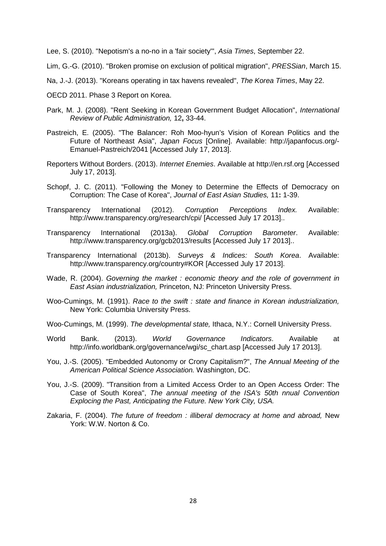Lee, S. (2010). "Nepotism's a no-no in a 'fair society'", *Asia Times*, September 22.

<span id="page-27-8"></span>Lim, G.-G. (2010). "Broken promise on exclusion of political migration", *PRESSian*, March 15.

- <span id="page-27-15"></span>Na, J.-J. (2013). "Koreans operating in tax havens revealed", *The Korea Times*, May 22.
- <span id="page-27-14"></span>OECD 2011. Phase 3 Report on Korea.
- <span id="page-27-13"></span>Park, M. J. (2008). "Rent Seeking in Korean Government Budget Allocation", *International Review of Public Administration,* 12**,** 33-44.
- <span id="page-27-7"></span>Pastreich, E. (2005). "The Balancer: Roh Moo-hyun's Vision of Korean Politics and the Future of Northeast Asia", *Japan Focus* [Online]. Available: http://japanfocus.org/- Emanuel-Pastreich/2041 [Accessed July 17, 2013].
- <span id="page-27-5"></span>Reporters Without Borders. (2013). *Internet Enemies*. Available at http://en.rsf.org [Accessed July 17, 2013].
- <span id="page-27-3"></span>Schopf, J. C. (2011). "Following the Money to Determine the Effects of Democracy on Corruption: The Case of Korea", *Journal of East Asian Studies,* 11**:** 1-39.
- <span id="page-27-6"></span>Transparency International (2012). *Corruption Perceptions Index.* Available: http://www.transparency.org/research/cpi/ [Accessed July 17 2013]..
- <span id="page-27-2"></span>Transparency International (2013a). *Global Corruption Barometer*. Available: http://www.transparency.org/gcb2013/results [Accessed July 17 2013]..
- <span id="page-27-1"></span>Transparency International (2013b). *Surveys & Indices: South Korea*. Available: http://www.transparency.org/country#KOR [Accessed July 17 2013].
- <span id="page-27-11"></span>Wade, R. (2004). *Governing the market : economic theory and the role of government in East Asian industrialization,* Princeton, NJ: Princeton University Press.
- <span id="page-27-10"></span>Woo-Cumings, M. (1991). *Race to the swift : state and finance in Korean industrialization,*  New York: Columbia University Press.
- <span id="page-27-9"></span>Woo-Cumings, M. (1999). *The developmental state,* Ithaca, N.Y.: Cornell University Press.
- <span id="page-27-0"></span>World Bank. (2013). *World Governance Indicators*. Available at http://info.worldbank.org/governance/wgi/sc\_chart.asp [Accessed July 17 2013].
- <span id="page-27-16"></span>You, J.-S. (2005). "Embedded Autonomy or Crony Capitalism?", *The Annual Meeting of the American Political Science Association.* Washington, DC.
- <span id="page-27-12"></span>You, J.-S. (2009). "Transition from a Limited Access Order to an Open Access Order: The Case of South Korea", *The annual meeting of the ISA's 50th nnual Convention Explocing the Past, Anticipating the Future. New York City, USA.*
- <span id="page-27-4"></span>Zakaria, F. (2004). *The future of freedom : illiberal democracy at home and abroad,* New York: W.W. Norton & Co.